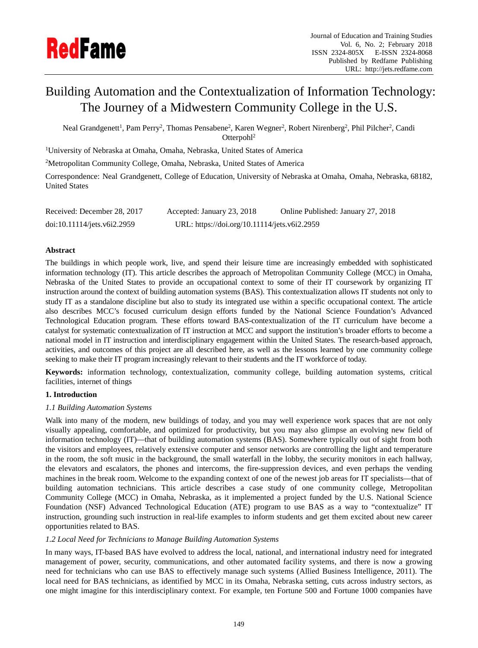

# Building Automation and the Contextualization of Information Technology: The Journey of a Midwestern Community College in the U.S.

Neal Grandgenett<sup>1</sup>, Pam Perry<sup>2</sup>, Thomas Pensabene<sup>2</sup>, Karen Wegner<sup>2</sup>, Robert Nirenberg<sup>2</sup>, Phil Pilcher<sup>2</sup>, Candi Otterpohl<sup>2</sup>

<sup>1</sup>University of Nebraska at Omaha, Omaha, Nebraska, United States of America

<sup>2</sup>Metropolitan Community College, Omaha, Nebraska, United States of America

Correspondence: Neal Grandgenett, College of Education, University of Nebraska at Omaha, Omaha, Nebraska, 68182, United States

| Received: December 28, 2017 | Accepted: January 23, 2018                   | Online Published: January 27, 2018 |
|-----------------------------|----------------------------------------------|------------------------------------|
| doi:10.11114/jets.v6i2.2959 | URL: https://doi.org/10.11114/jets.v6i2.2959 |                                    |

# **Abstract**

The buildings in which people work, live, and spend their leisure time are increasingly embedded with sophisticated information technology (IT). This article describes the approach of Metropolitan Community College (MCC) in Omaha, Nebraska of the United States to provide an occupational context to some of their IT coursework by organizing IT instruction around the context of building automation systems (BAS). This contextualization allows IT students not only to study IT as a standalone discipline but also to study its integrated use within a specific occupational context. The article also describes MCC's focused curriculum design efforts funded by the National Science Foundation's Advanced Technological Education program. These efforts toward BAS-contextualization of the IT curriculum have become a catalyst for systematic contextualization of IT instruction at MCC and support the institution's broader efforts to become a national model in IT instruction and interdisciplinary engagement within the United States. The research-based approach, activities, and outcomes of this project are all described here, as well as the lessons learned by one community college seeking to make their IT program increasingly relevant to their students and the IT workforce of today.

**Keywords:** information technology, contextualization, community college, building automation systems, critical facilities, internet of things

# **1. Introduction**

# *1.1 Building Automation Systems*

Walk into many of the modern, new buildings of today, and you may well experience work spaces that are not only visually appealing, comfortable, and optimized for productivity, but you may also glimpse an evolving new field of information technology (IT)—that of building automation systems (BAS). Somewhere typically out of sight from both the visitors and employees, relatively extensive computer and sensor networks are controlling the light and temperature in the room, the soft music in the background, the small waterfall in the lobby, the security monitors in each hallway, the elevators and escalators, the phones and intercoms, the fire-suppression devices, and even perhaps the vending machines in the break room. Welcome to the expanding context of one of the newest job areas for IT specialists—that of building automation technicians. This article describes a case study of one community college, Metropolitan Community College (MCC) in Omaha, Nebraska, as it implemented a project funded by the U.S. National Science Foundation (NSF) Advanced Technological Education (ATE) program to use BAS as a way to "contextualize" IT instruction, grounding such instruction in real-life examples to inform students and get them excited about new career opportunities related to BAS.

# *1.2 Local Need for Technicians to Manage Building Automation Systems*

In many ways, IT-based BAS have evolved to address the local, national, and international industry need for integrated management of power, security, communications, and other automated facility systems, and there is now a growing need for technicians who can use BAS to effectively manage such systems (Allied Business Intelligence, 2011). The local need for BAS technicians, as identified by MCC in its Omaha, Nebraska setting, cuts across industry sectors, as one might imagine for this interdisciplinary context. For example, ten Fortune 500 and Fortune 1000 companies have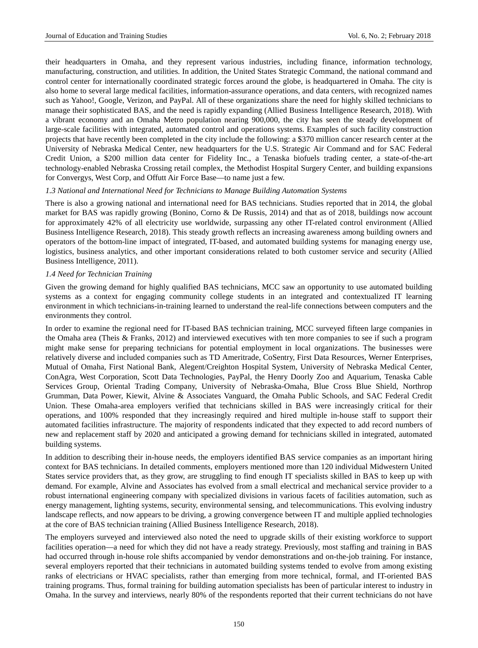their headquarters in Omaha, and they represent various industries, including finance, information technology, manufacturing, construction, and utilities. In addition, the United States Strategic Command, the national command and control center for internationally coordinated strategic forces around the globe, is headquartered in Omaha. The city is also home to several large medical facilities, information-assurance operations, and data centers, with recognized names such as Yahoo!, Google, Verizon, and PayPal. All of these organizations share the need for highly skilled technicians to manage their sophisticated BAS, and the need is rapidly expanding (Allied Business Intelligence Research, 2018). With a vibrant economy and an Omaha Metro population nearing 900,000, the city has seen the steady development of large-scale facilities with integrated, automated control and operations systems. Examples of such facility construction projects that have recently been completed in the city include the following: a \$370 million cancer research center at the University of Nebraska Medical Center, new headquarters for the U.S. Strategic Air Command and for SAC Federal Credit Union, a \$200 million data center for Fidelity Inc., a Tenaska biofuels trading center, a state-of-the-art technology-enabled Nebraska Crossing retail complex, the Methodist Hospital Surgery Center, and building expansions for Convergys, West Corp, and Offutt Air Force Base—to name just a few.

#### *1.3 National and International Need for Technicians to Manage Building Automation Systems*

There is also a growing national and international need for BAS technicians. Studies reported that in 2014, the global market for BAS was rapidly growing (Bonino, Corno & De Russis, 2014) and that as of 2018, buildings now account for approximately 42% of all electricity use worldwide, surpassing any other IT-related control environment (Allied Business Intelligence Research, 2018). This steady growth reflects an increasing awareness among building owners and operators of the bottom-line impact of integrated, IT-based, and automated building systems for managing energy use, logistics, business analytics, and other important considerations related to both customer service and security (Allied Business Intelligence, 2011).

#### *1.4 Need for Technician Training*

Given the growing demand for highly qualified BAS technicians, MCC saw an opportunity to use automated building systems as a context for engaging community college students in an integrated and contextualized IT learning environment in which technicians-in-training learned to understand the real-life connections between computers and the environments they control.

In order to examine the regional need for IT-based BAS technician training, MCC surveyed fifteen large companies in the Omaha area (Theis & Franks, 2012) and interviewed executives with ten more companies to see if such a program might make sense for preparing technicians for potential employment in local organizations. The businesses were relatively diverse and included companies such as TD Ameritrade, CoSentry, First Data Resources, Werner Enterprises, Mutual of Omaha, First National Bank, Alegent/Creighton Hospital System, University of Nebraska Medical Center, ConAgra, West Corporation, Scott Data Technologies, PayPal, the Henry Doorly Zoo and Aquarium, Tenaska Cable Services Group, Oriental Trading Company, University of Nebraska-Omaha, Blue Cross Blue Shield, Northrop Grumman, Data Power, Kiewit, Alvine & Associates Vanguard, the Omaha Public Schools, and SAC Federal Credit Union. These Omaha-area employers verified that technicians skilled in BAS were increasingly critical for their operations, and 100% responded that they increasingly required and hired multiple in-house staff to support their automated facilities infrastructure. The majority of respondents indicated that they expected to add record numbers of new and replacement staff by 2020 and anticipated a growing demand for technicians skilled in integrated, automated building systems.

In addition to describing their in-house needs, the employers identified BAS service companies as an important hiring context for BAS technicians. In detailed comments, employers mentioned more than 120 individual Midwestern United States service providers that, as they grow, are struggling to find enough IT specialists skilled in BAS to keep up with demand. For example, Alvine and Associates has evolved from a small electrical and mechanical service provider to a robust international engineering company with specialized divisions in various facets of facilities automation, such as energy management, lighting systems, security, environmental sensing, and telecommunications. This evolving industry landscape reflects, and now appears to be driving, a growing convergence between IT and multiple applied technologies at the core of BAS technician training (Allied Business Intelligence Research, 2018).

The employers surveyed and interviewed also noted the need to upgrade skills of their existing workforce to support facilities operation—a need for which they did not have a ready strategy. Previously, most staffing and training in BAS had occurred through in-house role shifts accompanied by vendor demonstrations and on-the-job training. For instance, several employers reported that their technicians in automated building systems tended to evolve from among existing ranks of electricians or HVAC specialists, rather than emerging from more technical, formal, and IT-oriented BAS training programs. Thus, formal training for building automation specialists has been of particular interest to industry in Omaha. In the survey and interviews, nearly 80% of the respondents reported that their current technicians do not have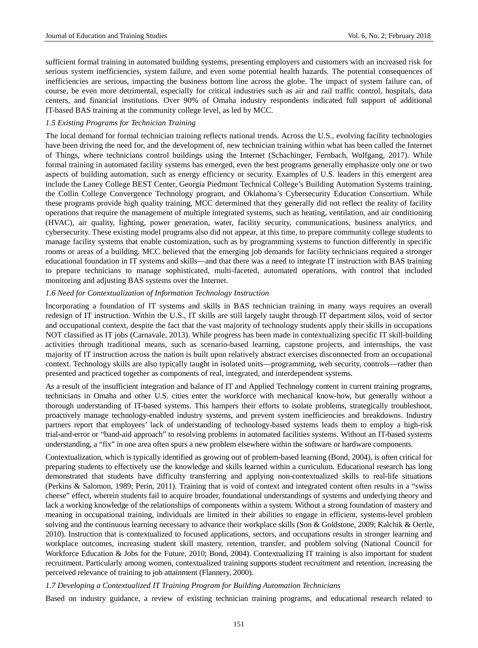sufficient formal training in automated building systems, presenting employers and customers with an increased risk for serious system inefficiencies, system failure, and even some potential health hazards. The potential consequences of inefficiencies are serious, impacting the business bottom line across the globe. The impact of system failure can, of course, be even more detrimental, especially for critical industries such as air and rail traffic control, hospitals, data centers, and financial institutions. Over 90% of Omaha industry respondents indicated full support of additional IT-based BAS training at the community college level, as led by MCC.

# *1.5 Existing Programs for Technician Training*

The local demand for formal technician training reflects national trends. Across the U.S., evolving facility technologies have been driving the need for, and the development of, new technician training within what has been called the Internet of Things, where technicians control buildings using the Internet (Schachinger, Fernbach, Wolfgang, 2017). While formal training in automated facility systems has emerged, even the best programs generally emphasize only one or two aspects of building automation, such as energy efficiency or security. Examples of U.S. leaders in this emergent area include the Laney College BEST Center, Georgia Piedmont Technical College's Building Automation Systems training, the Collin College Convergence Technology program, and Oklahoma's Cybersecurity Education Consortium. While these programs provide high quality training, MCC determined that they generally did not reflect the reality of facility operations that require the management of multiple integrated systems, such as heating, ventilation, and air conditioning (HVAC), air quality, lighting, power generation, water, facility security, communications, business analytics, and cybersecurity. These existing model programs also did not appear, at this time, to prepare community college students to manage facility systems that enable customization, such as by programming systems to function differently in specific rooms or areas of a building. MCC believed that the emerging job demands for facility technicians required a stronger educational foundation in IT systems and skills—and that there was a need to integrate IT instruction with BAS training to prepare technicians to manage sophisticated, multi-faceted, automated operations, with control that included monitoring and adjusting BAS systems over the Internet.

# *1.6 Need for Contextualization of Information Technology Instruction*

Incorporating a foundation of IT systems and skills in BAS technician training in many ways requires an overall redesign of IT instruction. Within the U.S., IT skills are still largely taught through IT department silos, void of sector and occupational context, despite the fact that the vast majority of technology students apply their skills in occupations NOT classified as IT jobs (Carnavale, 2013). While progress has been made in contextualizing specific IT skill-building activities through traditional means, such as scenario-based learning, capstone projects, and internships, the vast majority of IT instruction across the nation is built upon relatively abstract exercises disconnected from an occupational context. Technology skills are also typically taught in isolated units—programming, web security, controls—rather than presented and practiced together as components of real, integrated, and interdependent systems.

As a result of the insufficient integration and balance of IT and Applied Technology content in current training programs, technicians in Omaha and other U.S. cities enter the workforce with mechanical know-how, but generally without a thorough understanding of IT-based systems. This hampers their efforts to isolate problems, strategically troubleshoot, proactively manage technology-enabled industry systems, and prevent system inefficiencies and breakdowns. Industry partners report that employees' lack of understanding of technology-based systems leads them to employ a high-risk trial-and-error or "band-aid approach" to resolving problems in automated facilities systems. Without an IT-based systems understanding, a "fix" in one area often spurs a new problem elsewhere within the software or hardware components.

Contextualization, which is typically identified as growing out of problem-based learning (Bond, 2004), is often critical for preparing students to effectively use the knowledge and skills learned within a curriculum. Educational research has long demonstrated that students have difficulty transferring and applying non-contextualized skills to real-life situations (Perkins & Salomon, 1989; Perin, 2011). Training that is void of context and integrated content often results in a "swiss cheese" effect, wherein students fail to acquire broader, foundational understandings of systems and underlying theory and lack a working knowledge of the relationships of components within a system. Without a strong foundation of mastery and meaning in occupational training, individuals are limited in their abilities to engage in efficient, systems-level problem solving and the continuous learning necessary to advance their workplace skills (Son & Goldstone, 2009; Kalchik & Oertle, 2010). Instruction that is contextualized to focused applications, sectors, and occupations results in stronger learning and workplace outcomes, increasing student skill mastery, retention, transfer, and problem solving (National Council for Workforce Education & Jobs for the Future, 2010; Bond, 2004). Contextualizing IT training is also important for student recruitment. Particularly among women, contextualized training supports student recruitment and retention, increasing the perceived relevance of training to job attainment (Flannery, 2000).

## *1.7 Developing a Contextualized IT Training Program for Building Automation Technicians*

Based on industry guidance, a review of existing technician training programs, and educational research related to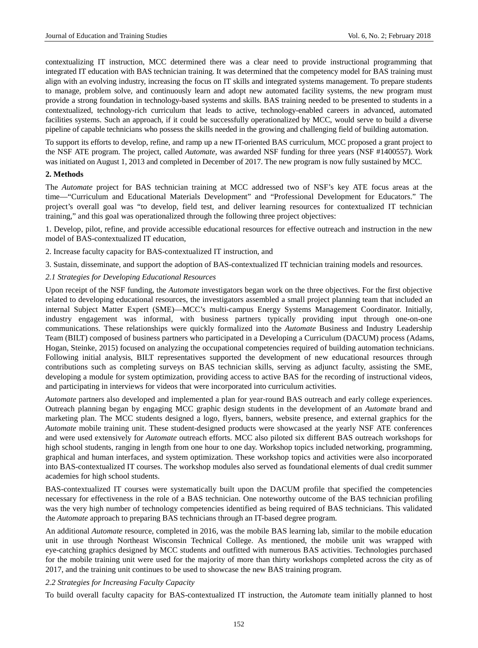contextualizing IT instruction, MCC determined there was a clear need to provide instructional programming that integrated IT education with BAS technician training. It was determined that the competency model for BAS training must align with an evolving industry, increasing the focus on IT skills and integrated systems management. To prepare students to manage, problem solve, and continuously learn and adopt new automated facility systems, the new program must provide a strong foundation in technology-based systems and skills. BAS training needed to be presented to students in a contextualized, technology-rich curriculum that leads to active, technology-enabled careers in advanced, automated facilities systems. Such an approach, if it could be successfully operationalized by MCC, would serve to build a diverse pipeline of capable technicians who possess the skills needed in the growing and challenging field of building automation.

To support its efforts to develop, refine, and ramp up a new IT-oriented BAS curriculum, MCC proposed a grant project to the NSF ATE program. The project, called *Automate*, was awarded NSF funding for three years (NSF #1400557). Work was initiated on August 1, 2013 and completed in December of 2017. The new program is now fully sustained by MCC.

# **2. Methods**

The *Automate* project for BAS technician training at MCC addressed two of NSF's key ATE focus areas at the time—"Curriculum and Educational Materials Development" and "Professional Development for Educators." The project's overall goal was "to develop, field test, and deliver learning resources for contextualized IT technician training," and this goal was operationalized through the following three project objectives:

1. Develop, pilot, refine, and provide accessible educational resources for effective outreach and instruction in the new model of BAS-contextualized IT education,

- 2. Increase faculty capacity for BAS-contextualized IT instruction, and
- 3. Sustain, disseminate, and support the adoption of BAS-contextualized IT technician training models and resources.

# *2.1 Strategies for Developing Educational Resources*

Upon receipt of the NSF funding, the *Automate* investigators began work on the three objectives. For the first objective related to developing educational resources, the investigators assembled a small project planning team that included an internal Subject Matter Expert (SME)—MCC's multi-campus Energy Systems Management Coordinator. Initially, industry engagement was informal, with business partners typically providing input through one-on-one communications. These relationships were quickly formalized into the *Automate* Business and Industry Leadership Team (BILT) composed of business partners who participated in a Developing a Curriculum (DACUM) process (Adams, Hogan, Steinke, 2015) focused on analyzing the occupational competencies required of building automation technicians. Following initial analysis, BILT representatives supported the development of new educational resources through contributions such as completing surveys on BAS technician skills, serving as adjunct faculty, assisting the SME, developing a module for system optimization, providing access to active BAS for the recording of instructional videos, and participating in interviews for videos that were incorporated into curriculum activities.

*Automate* partners also developed and implemented a plan for year-round BAS outreach and early college experiences. Outreach planning began by engaging MCC graphic design students in the development of an *Automate* brand and marketing plan. The MCC students designed a logo, flyers, banners, website presence, and external graphics for the *Automate* mobile training unit. These student-designed products were showcased at the yearly NSF ATE conferences and were used extensively for *Automate* outreach efforts. MCC also piloted six different BAS outreach workshops for high school students, ranging in length from one hour to one day. Workshop topics included networking, programming, graphical and human interfaces, and system optimization. These workshop topics and activities were also incorporated into BAS-contextualized IT courses. The workshop modules also served as foundational elements of dual credit summer academies for high school students.

BAS-contextualized IT courses were systematically built upon the DACUM profile that specified the competencies necessary for effectiveness in the role of a BAS technician. One noteworthy outcome of the BAS technician profiling was the very high number of technology competencies identified as being required of BAS technicians. This validated the *Automate* approach to preparing BAS technicians through an IT-based degree program.

An additional *Automate* resource, completed in 2016, was the mobile BAS learning lab, similar to the mobile education unit in use through Northeast Wisconsin Technical College. As mentioned, the mobile unit was wrapped with eye-catching graphics designed by MCC students and outfitted with numerous BAS activities. Technologies purchased for the mobile training unit were used for the majority of more than thirty workshops completed across the city as of 2017, and the training unit continues to be used to showcase the new BAS training program.

#### *2.2 Strategies for Increasing Faculty Capacity*

To build overall faculty capacity for BAS-contextualized IT instruction, the *Automate* team initially planned to host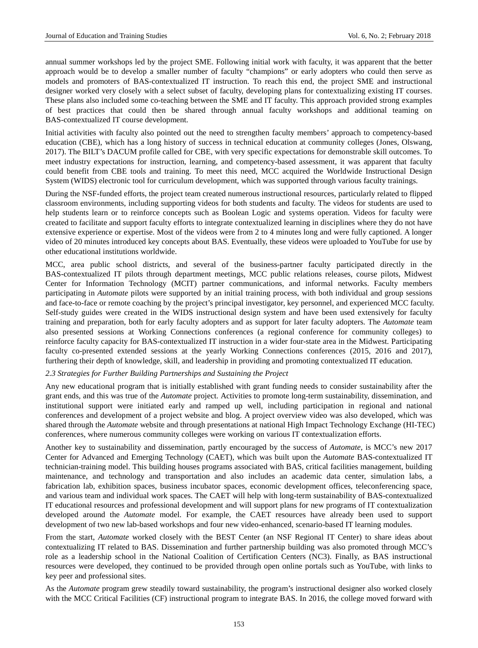annual summer workshops led by the project SME. Following initial work with faculty, it was apparent that the better approach would be to develop a smaller number of faculty "champions" or early adopters who could then serve as models and promoters of BAS-contextualized IT instruction. To reach this end, the project SME and instructional designer worked very closely with a select subset of faculty, developing plans for contextualizing existing IT courses. These plans also included some co-teaching between the SME and IT faculty. This approach provided strong examples of best practices that could then be shared through annual faculty workshops and additional teaming on BAS-contextualized IT course development.

Initial activities with faculty also pointed out the need to strengthen faculty members' approach to competency-based education (CBE), which has a long history of success in technical education at community colleges (Jones, Olswang, 2017). The BILT's DACUM profile called for CBE, with very specific expectations for demonstrable skill outcomes. To meet industry expectations for instruction, learning, and competency-based assessment, it was apparent that faculty could benefit from CBE tools and training. To meet this need, MCC acquired the Worldwide Instructional Design System (WIDS) electronic tool for curriculum development, which was supported through various faculty trainings.

During the NSF-funded efforts, the project team created numerous instructional resources, particularly related to flipped classroom environments, including supporting videos for both students and faculty. The videos for students are used to help students learn or to reinforce concepts such as Boolean Logic and systems operation. Videos for faculty were created to facilitate and support faculty efforts to integrate contextualized learning in disciplines where they do not have extensive experience or expertise. Most of the videos were from 2 to 4 minutes long and were fully captioned. A longer video of 20 minutes introduced key concepts about BAS. Eventually, these videos were uploaded to YouTube for use by other educational institutions worldwide.

MCC, area public school districts, and several of the business-partner faculty participated directly in the BAS-contextualized IT pilots through department meetings, MCC public relations releases, course pilots, Midwest Center for Information Technology (MCIT) partner communications, and informal networks. Faculty members participating in *Automate* pilots were supported by an initial training process, with both individual and group sessions and face-to-face or remote coaching by the project's principal investigator, key personnel, and experienced MCC faculty. Self-study guides were created in the WIDS instructional design system and have been used extensively for faculty training and preparation, both for early faculty adopters and as support for later faculty adopters. The *Automate* team also presented sessions at Working Connections conferences (a regional conference for community colleges) to reinforce faculty capacity for BAS-contextualized IT instruction in a wider four-state area in the Midwest. Participating faculty co-presented extended sessions at the yearly Working Connections conferences (2015, 2016 and 2017), furthering their depth of knowledge, skill, and leadership in providing and promoting contextualized IT education.

#### *2.3 Strategies for Further Building Partnerships and Sustaining the Project*

Any new educational program that is initially established with grant funding needs to consider sustainability after the grant ends, and this was true of the *Automate* project. Activities to promote long-term sustainability, dissemination, and institutional support were initiated early and ramped up well, including participation in regional and national conferences and development of a project website and blog. A project overview video was also developed, which was shared through the *Automate* website and through presentations at national High Impact Technology Exchange (HI-TEC) conferences, where numerous community colleges were working on various IT contextualization efforts.

Another key to sustainability and dissemination, partly encouraged by the success of *Automate*, is MCC's new 2017 Center for Advanced and Emerging Technology (CAET), which was built upon the *Automate* BAS-contextualized IT technician-training model. This building houses programs associated with BAS, critical facilities management, building maintenance, and technology and transportation and also includes an academic data center, simulation labs, a fabrication lab, exhibition spaces, business incubator spaces, economic development offices, teleconferencing space, and various team and individual work spaces. The CAET will help with long-term sustainability of BAS-contextualized IT educational resources and professional development and will support plans for new programs of IT contextualization developed around the *Automate* model. For example, the CAET resources have already been used to support development of two new lab-based workshops and four new video-enhanced, scenario-based IT learning modules.

From the start, *Automate* worked closely with the BEST Center (an NSF Regional IT Center) to share ideas about contextualizing IT related to BAS. Dissemination and further partnership building was also promoted through MCC's role as a leadership school in the National Coalition of Certification Centers (NC3). Finally, as BAS instructional resources were developed, they continued to be provided through open online portals such as YouTube, with links to key peer and professional sites.

As the *Automate* program grew steadily toward sustainability, the program's instructional designer also worked closely with the MCC Critical Facilities (CF) instructional program to integrate BAS. In 2016, the college moved forward with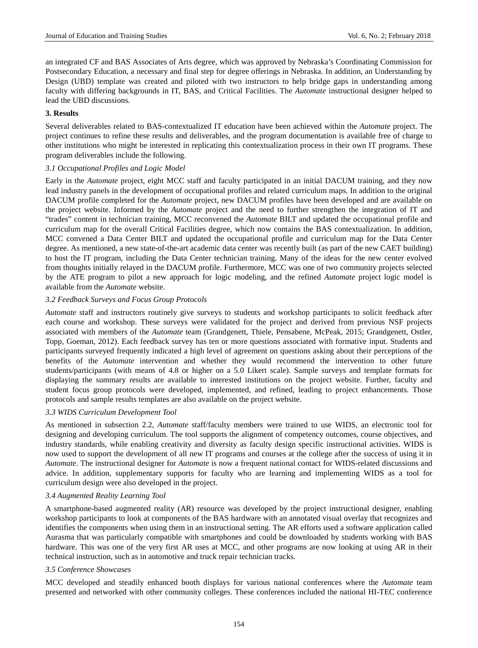an integrated CF and BAS Associates of Arts degree, which was approved by Nebraska's Coordinating Commission for Postsecondary Education, a necessary and final step for degree offerings in Nebraska. In addition, an Understanding by Design (UBD) template was created and piloted with two instructors to help bridge gaps in understanding among faculty with differing backgrounds in IT, BAS, and Critical Facilities. The *Automate* instructional designer helped to lead the UBD discussions.

# **3. Results**

Several deliverables related to BAS-contextualized IT education have been achieved within the *Automate* project. The project continues to refine these results and deliverables, and the program documentation is available free of charge to other institutions who might be interested in replicating this contextualization process in their own IT programs. These program deliverables include the following.

# *3.1 Occupational Profiles and Logic Model*

Early in the *Automate* project, eight MCC staff and faculty participated in an initial DACUM training, and they now lead industry panels in the development of occupational profiles and related curriculum maps. In addition to the original DACUM profile completed for the *Automate* project, new DACUM profiles have been developed and are available on the project website. Informed by the *Automate* project and the need to further strengthen the integration of IT and "trades" content in technician training, MCC reconvened the *Automate* BILT and updated the occupational profile and curriculum map for the overall Critical Facilities degree, which now contains the BAS contextualization. In addition, MCC convened a Data Center BILT and updated the occupational profile and curriculum map for the Data Center degree. As mentioned, a new state-of-the-art academic data center was recently built (as part of the new CAET building) to host the IT program, including the Data Center technician training. Many of the ideas for the new center evolved from thoughts initially relayed in the DACUM profile. Furthermore, MCC was one of two community projects selected by the ATE program to pilot a new approach for logic modeling, and the refined *Automate* project logic model is available from the *Automate* website.

# *3.2 Feedback Surveys and Focus Group Protocols*

*Automate* staff and instructors routinely give surveys to students and workshop participants to solicit feedback after each course and workshop. These surveys were validated for the project and derived from previous NSF projects associated with members of the *Automate* team (Grandgenett, Thiele, Pensabene, McPeak, 2015; Grandgenett, Ostler, Topp, Goeman, 2012). Each feedback survey has ten or more questions associated with formative input. Students and participants surveyed frequently indicated a high level of agreement on questions asking about their perceptions of the benefits of the *Automate* intervention and whether they would recommend the intervention to other future students/participants (with means of 4.8 or higher on a 5.0 Likert scale). Sample surveys and template formats for displaying the summary results are available to interested institutions on the project website. Further, faculty and student focus group protocols were developed, implemented, and refined, leading to project enhancements. Those protocols and sample results templates are also available on the project website.

# *3.3 WIDS Curriculum Development Tool*

As mentioned in subsection 2.2, *Automate* staff/faculty members were trained to use WIDS, an electronic tool for designing and developing curriculum. The tool supports the alignment of competency outcomes, course objectives, and industry standards, while enabling creativity and diversity as faculty design specific instructional activities. WIDS is now used to support the development of all new IT programs and courses at the college after the success of using it in *Automate*. The instructional designer for *Automate* is now a frequent national contact for WIDS-related discussions and advice. In addition, supplementary supports for faculty who are learning and implementing WIDS as a tool for curriculum design were also developed in the project.

#### *3.4 Augmented Reality Learning Tool*

A smartphone-based augmented reality (AR) resource was developed by the project instructional designer, enabling workshop participants to look at components of the BAS hardware with an annotated visual overlay that recognizes and identifies the components when using them in an instructional setting. The AR efforts used a software application called Aurasma that was particularly compatible with smartphones and could be downloaded by students working with BAS hardware. This was one of the very first AR uses at MCC, and other programs are now looking at using AR in their technical instruction, such as in automotive and truck repair technician tracks.

#### *3.5 Conference Showcases*

MCC developed and steadily enhanced booth displays for various national conferences where the *Automate* team presented and networked with other community colleges. These conferences included the national HI-TEC conference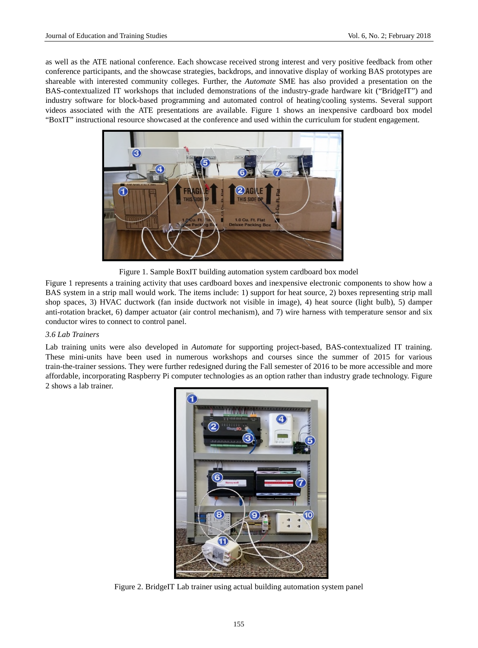as well as the ATE national conference. Each showcase received strong interest and very positive feedback from other conference participants, and the showcase strategies, backdrops, and innovative display of working BAS prototypes are shareable with interested community colleges. Further, the *Automate* SME has also provided a presentation on the BAS-contextualized IT workshops that included demonstrations of the industry-grade hardware kit ("BridgeIT") and industry software for block-based programming and automated control of heating/cooling systems. Several support videos associated with the ATE presentations are available. Figure 1 shows an inexpensive cardboard box model "BoxIT" instructional resource showcased at the conference and used within the curriculum for student engagement.



Figure 1. Sample BoxIT building automation system cardboard box model

Figure 1 represents a training activity that uses cardboard boxes and inexpensive electronic components to show how a BAS system in a strip mall would work. The items include: 1) support for heat source, 2) boxes representing strip mall shop spaces, 3) HVAC ductwork (fan inside ductwork not visible in image), 4) heat source (light bulb), 5) damper anti-rotation bracket, 6) damper actuator (air control mechanism), and 7) wire harness with temperature sensor and six conductor wires to connect to control panel.

# *3.6 Lab Trainers*

Lab training units were also developed in *Automate* for supporting project-based, BAS-contextualized IT training. These mini-units have been used in numerous workshops and courses since the summer of 2015 for various train-the-trainer sessions. They were further redesigned during the Fall semester of 2016 to be more accessible and more affordable, incorporating Raspberry Pi computer technologies as an option rather than industry grade technology. Figure 2 shows a lab trainer.



Figure 2. BridgeIT Lab trainer using actual building automation system panel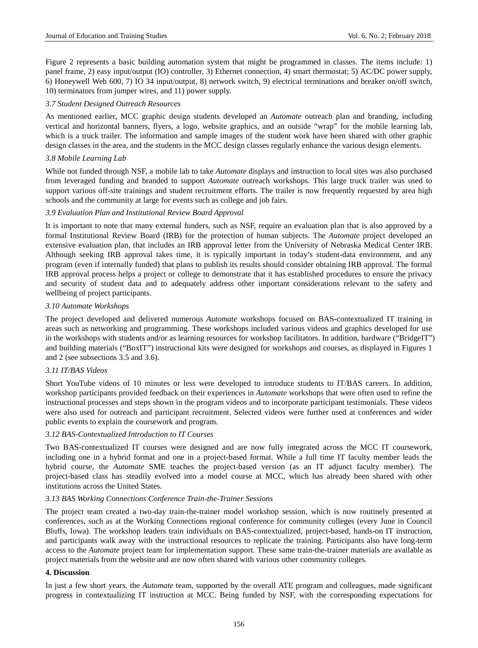Figure 2 represents a basic building automation system that might be programmed in classes. The items include: 1) panel frame, 2) easy input/output (IO) controller, 3) Ethernet connection, 4) smart thermostat; 5) AC/DC power supply, 6) Honeywell Web 600, 7) IO 34 input/output, 8) network switch, 9) electrical terminations and breaker on/off switch, 10) terminators from jumper wires, and 11) power supply.

## *3.7 Student Designed Outreach Resources*

As mentioned earlier, MCC graphic design students developed an *Automate* outreach plan and branding, including vertical and horizontal banners, flyers, a logo, website graphics, and an outside "wrap" for the mobile learning lab, which is a truck trailer. The information and sample images of the student work have been shared with other graphic design classes in the area, and the students in the MCC design classes regularly enhance the various design elements.

## *3.8 Mobile Learning Lab*

While not funded through NSF, a mobile lab to take *Automate* displays and instruction to local sites was also purchased from leveraged funding and branded to support *Automate* outreach workshops. This large truck trailer was used to support various off-site trainings and student recruitment efforts. The trailer is now frequently requested by area high schools and the community at large for events such as college and job fairs.

# *3.9 Evaluation Plan and Institutional Review Board Approval*

It is important to note that many external funders, such as NSF, require an evaluation plan that is also approved by a formal Institutional Review Board (IRB) for the protection of human subjects. The *Automate* project developed an extensive evaluation plan, that includes an IRB approval letter from the University of Nebraska Medical Center IRB. Although seeking IRB approval takes time, it is typically important in today's student-data environment, and any program (even if internally funded) that plans to publish its results should consider obtaining IRB approval. The formal IRB approval process helps a project or college to demonstrate that it has established procedures to ensure the privacy and security of student data and to adequately address other important considerations relevant to the safety and wellbeing of project participants.

#### *3.10 Automate Workshops*

The project developed and delivered numerous *Automate* workshops focused on BAS-contextualized IT training in areas such as networking and programming. These workshops included various videos and graphics developed for use in the workshops with students and/or as learning resources for workshop facilitators. In addition, hardware ("BridgeIT") and building materials ("BoxIT") instructional kits were designed for workshops and courses, as displayed in Figures 1 and 2 (see subsections 3.5 and 3.6).

# *3.11 IT/BAS Videos*

Short YouTube videos of 10 minutes or less were developed to introduce students to IT/BAS careers. In addition, workshop participants provided feedback on their experiences in *Automate* workshops that were often used to refine the instructional processes and steps shown in the program videos and to incorporate participant testimonials. These videos were also used for outreach and participant recruitment. Selected videos were further used at conferences and wider public events to explain the coursework and program.

#### *3.12 BAS-Contextualized Introduction to IT Courses*

Two BAS-contextualized IT courses were designed and are now fully integrated across the MCC IT coursework, including one in a hybrid format and one in a project-based format. While a full time IT faculty member leads the hybrid course, the *Automate* SME teaches the project-based version (as an IT adjunct faculty member). The project-based class has steadily evolved into a model course at MCC, which has already been shared with other institutions across the United States.

# *3.13 BAS Working Connections Conference Train-the-Trainer Sessions*

The project team created a two-day train-the-trainer model workshop session, which is now routinely presented at conferences, such as at the Working Connections regional conference for community colleges (every June in Council Bluffs, Iowa). The workshop leaders train individuals on BAS-contextualized, project-based, hands-on IT instruction, and participants walk away with the instructional resources to replicate the training. Participants also have long-term access to the *Automate* project team for implementation support. These same train-the-trainer materials are available as project materials from the website and are now often shared with various other community colleges.

### **4. Discussion**

In just a few short years, the *Automate* team, supported by the overall ATE program and colleagues, made significant progress in contextualizing IT instruction at MCC. Being funded by NSF, with the corresponding expectations for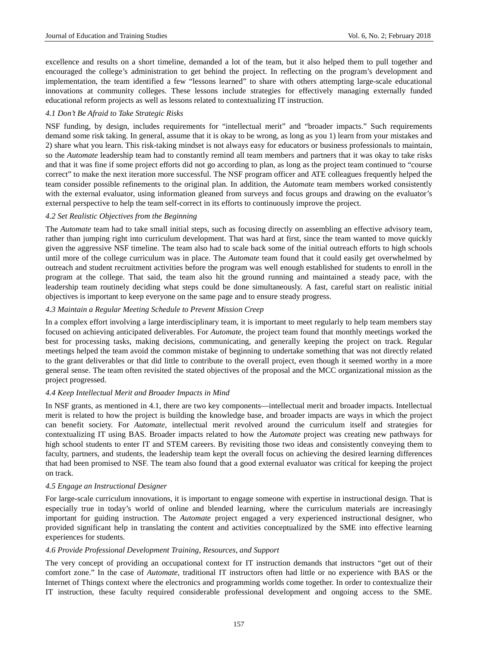excellence and results on a short timeline, demanded a lot of the team, but it also helped them to pull together and encouraged the college's administration to get behind the project. In reflecting on the program's development and implementation, the team identified a few "lessons learned" to share with others attempting large-scale educational innovations at community colleges. These lessons include strategies for effectively managing externally funded educational reform projects as well as lessons related to contextualizing IT instruction.

# *4.1 Don't Be Afraid to Take Strategic Risks*

NSF funding, by design, includes requirements for "intellectual merit" and "broader impacts." Such requirements demand some risk taking. In general, assume that it is okay to be wrong, as long as you 1) learn from your mistakes and 2) share what you learn. This risk-taking mindset is not always easy for educators or business professionals to maintain, so the *Automate* leadership team had to constantly remind all team members and partners that it was okay to take risks and that it was fine if some project efforts did not go according to plan, as long as the project team continued to "course correct" to make the next iteration more successful. The NSF program officer and ATE colleagues frequently helped the team consider possible refinements to the original plan. In addition, the *Automate* team members worked consistently with the external evaluator, using information gleaned from surveys and focus groups and drawing on the evaluator's external perspective to help the team self-correct in its efforts to continuously improve the project.

# *4.2 Set Realistic Objectives from the Beginning*

The *Automate* team had to take small initial steps, such as focusing directly on assembling an effective advisory team, rather than jumping right into curriculum development. That was hard at first, since the team wanted to move quickly given the aggressive NSF timeline. The team also had to scale back some of the initial outreach efforts to high schools until more of the college curriculum was in place. The *Automate* team found that it could easily get overwhelmed by outreach and student recruitment activities before the program was well enough established for students to enroll in the program at the college. That said, the team also hit the ground running and maintained a steady pace, with the leadership team routinely deciding what steps could be done simultaneously. A fast, careful start on realistic initial objectives is important to keep everyone on the same page and to ensure steady progress.

# *4.3 Maintain a Regular Meeting Schedule to Prevent Mission Creep*

In a complex effort involving a large interdisciplinary team, it is important to meet regularly to help team members stay focused on achieving anticipated deliverables. For *Automate*, the project team found that monthly meetings worked the best for processing tasks, making decisions, communicating, and generally keeping the project on track. Regular meetings helped the team avoid the common mistake of beginning to undertake something that was not directly related to the grant deliverables or that did little to contribute to the overall project, even though it seemed worthy in a more general sense. The team often revisited the stated objectives of the proposal and the MCC organizational mission as the project progressed.

# *4.4 Keep Intellectual Merit and Broader Impacts in Mind*

In NSF grants, as mentioned in 4.1, there are two key components—intellectual merit and broader impacts. Intellectual merit is related to how the project is building the knowledge base, and broader impacts are ways in which the project can benefit society. For *Automate*, intellectual merit revolved around the curriculum itself and strategies for contextualizing IT using BAS. Broader impacts related to how the *Automate* project was creating new pathways for high school students to enter IT and STEM careers. By revisiting those two ideas and consistently conveying them to faculty, partners, and students, the leadership team kept the overall focus on achieving the desired learning differences that had been promised to NSF. The team also found that a good external evaluator was critical for keeping the project on track.

### *4.5 Engage an Instructional Designer*

For large-scale curriculum innovations, it is important to engage someone with expertise in instructional design. That is especially true in today's world of online and blended learning, where the curriculum materials are increasingly important for guiding instruction. The *Automate* project engaged a very experienced instructional designer, who provided significant help in translating the content and activities conceptualized by the SME into effective learning experiences for students.

#### *4.6 Provide Professional Development Training, Resources, and Support*

The very concept of providing an occupational context for IT instruction demands that instructors "get out of their comfort zone." In the case of *Automate*, traditional IT instructors often had little or no experience with BAS or the Internet of Things context where the electronics and programming worlds come together. In order to contextualize their IT instruction, these faculty required considerable professional development and ongoing access to the SME.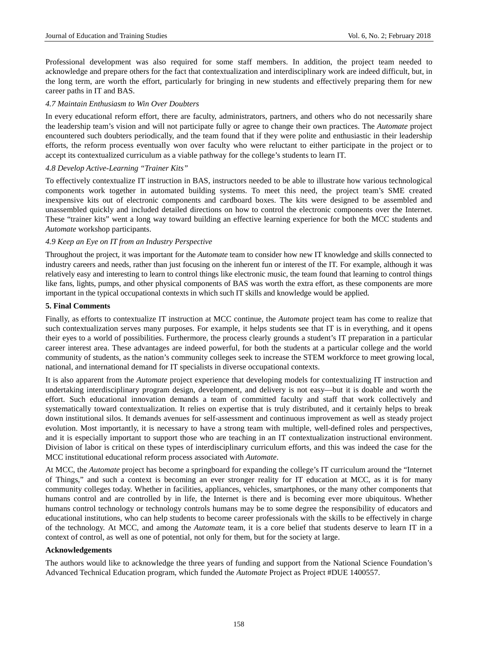Professional development was also required for some staff members. In addition, the project team needed to acknowledge and prepare others for the fact that contextualization and interdisciplinary work are indeed difficult, but, in the long term, are worth the effort, particularly for bringing in new students and effectively preparing them for new career paths in IT and BAS.

## *4.7 Maintain Enthusiasm to Win Over Doubters*

In every educational reform effort, there are faculty, administrators, partners, and others who do not necessarily share the leadership team's vision and will not participate fully or agree to change their own practices. The *Automate* project encountered such doubters periodically, and the team found that if they were polite and enthusiastic in their leadership efforts, the reform process eventually won over faculty who were reluctant to either participate in the project or to accept its contextualized curriculum as a viable pathway for the college's students to learn IT.

# *4.8 Develop Active-Learning "Trainer Kits"*

To effectively contextualize IT instruction in BAS, instructors needed to be able to illustrate how various technological components work together in automated building systems. To meet this need, the project team's SME created inexpensive kits out of electronic components and cardboard boxes. The kits were designed to be assembled and unassembled quickly and included detailed directions on how to control the electronic components over the Internet. These "trainer kits" went a long way toward building an effective learning experience for both the MCC students and *Automate* workshop participants.

# *4.9 Keep an Eye on IT from an Industry Perspective*

Throughout the project, it was important for the *Automate* team to consider how new IT knowledge and skills connected to industry careers and needs, rather than just focusing on the inherent fun or interest of the IT. For example, although it was relatively easy and interesting to learn to control things like electronic music, the team found that learning to control things like fans, lights, pumps, and other physical components of BAS was worth the extra effort, as these components are more important in the typical occupational contexts in which such IT skills and knowledge would be applied.

#### **5. Final Comments**

Finally, as efforts to contextualize IT instruction at MCC continue, the *Automate* project team has come to realize that such contextualization serves many purposes. For example, it helps students see that IT is in everything, and it opens their eyes to a world of possibilities. Furthermore, the process clearly grounds a student's IT preparation in a particular career interest area. These advantages are indeed powerful, for both the students at a particular college and the world community of students, as the nation's community colleges seek to increase the STEM workforce to meet growing local, national, and international demand for IT specialists in diverse occupational contexts.

It is also apparent from the *Automate* project experience that developing models for contextualizing IT instruction and undertaking interdisciplinary program design, development, and delivery is not easy—but it is doable and worth the effort. Such educational innovation demands a team of committed faculty and staff that work collectively and systematically toward contextualization. It relies on expertise that is truly distributed, and it certainly helps to break down institutional silos. It demands avenues for self-assessment and continuous improvement as well as steady project evolution. Most importantly, it is necessary to have a strong team with multiple, well-defined roles and perspectives, and it is especially important to support those who are teaching in an IT contextualization instructional environment. Division of labor is critical on these types of interdisciplinary curriculum efforts, and this was indeed the case for the MCC institutional educational reform process associated with *Automate*.

At MCC, the *Automate* project has become a springboard for expanding the college's IT curriculum around the "Internet of Things," and such a context is becoming an ever stronger reality for IT education at MCC, as it is for many community colleges today. Whether in facilities, appliances, vehicles, smartphones, or the many other components that humans control and are controlled by in life, the Internet is there and is becoming ever more ubiquitous. Whether humans control technology or technology controls humans may be to some degree the responsibility of educators and educational institutions, who can help students to become career professionals with the skills to be effectively in charge of the technology. At MCC, and among the *Automate* team, it is a core belief that students deserve to learn IT in a context of control, as well as one of potential, not only for them, but for the society at large.

#### **Acknowledgements**

The authors would like to acknowledge the three years of funding and support from the National Science Foundation's Advanced Technical Education program, which funded the *Automate* Project as Project #DUE 1400557.